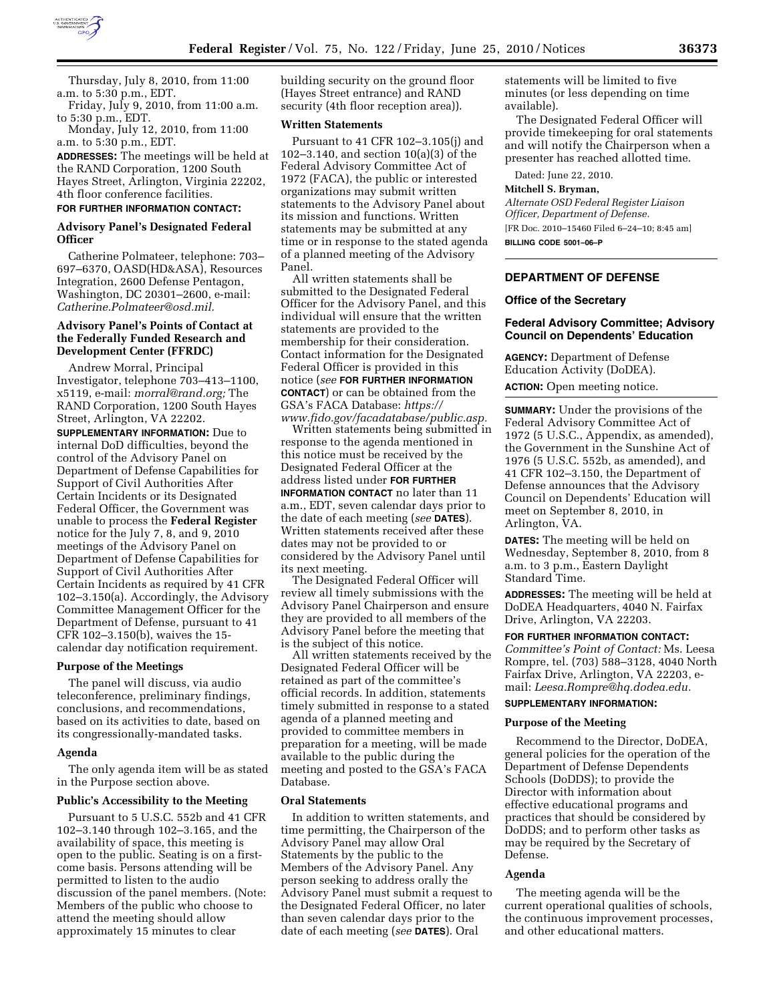

Thursday, July 8, 2010, from 11:00 a.m. to 5:30 p.m., EDT.

Friday, July 9, 2010, from 11:00 a.m. to 5:30 p.m., EDT.

Monday, July 12, 2010, from 11:00 a.m. to 5:30 p.m., EDT.

**ADDRESSES:** The meetings will be held at the RAND Corporation, 1200 South Hayes Street, Arlington, Virginia 22202, 4th floor conference facilities.

# **FOR FURTHER INFORMATION CONTACT:**

### **Advisory Panel's Designated Federal Officer**

Catherine Polmateer, telephone: 703– 697–6370, OASD(HD&ASA), Resources Integration, 2600 Defense Pentagon, Washington, DC 20301–2600, e-mail: *Catherine.Polmateer@osd.mil.* 

# **Advisory Panel's Points of Contact at the Federally Funded Research and Development Center (FFRDC)**

Andrew Morral, Principal Investigator, telephone 703–413–1100, x5119, e-mail: *morral@rand.org;* The RAND Corporation, 1200 South Hayes Street, Arlington, VA 22202.

**SUPPLEMENTARY INFORMATION:** Due to internal DoD difficulties, beyond the control of the Advisory Panel on Department of Defense Capabilities for Support of Civil Authorities After Certain Incidents or its Designated Federal Officer, the Government was unable to process the **Federal Register**  notice for the July 7, 8, and 9, 2010 meetings of the Advisory Panel on Department of Defense Capabilities for Support of Civil Authorities After Certain Incidents as required by 41 CFR 102–3.150(a). Accordingly, the Advisory Committee Management Officer for the Department of Defense, pursuant to 41 CFR 102–3.150(b), waives the 15 calendar day notification requirement.

### **Purpose of the Meetings**

The panel will discuss, via audio teleconference, preliminary findings, conclusions, and recommendations, based on its activities to date, based on its congressionally-mandated tasks.

#### **Agenda**

The only agenda item will be as stated in the Purpose section above.

### **Public's Accessibility to the Meeting**

Pursuant to 5 U.S.C. 552b and 41 CFR 102–3.140 through 102–3.165, and the availability of space, this meeting is open to the public. Seating is on a firstcome basis. Persons attending will be permitted to listen to the audio discussion of the panel members. (Note: Members of the public who choose to attend the meeting should allow approximately 15 minutes to clear

building security on the ground floor (Hayes Street entrance) and RAND security (4th floor reception area)).

# **Written Statements**

Pursuant to 41 CFR 102–3.105(j) and 102–3.140, and section 10(a)(3) of the Federal Advisory Committee Act of 1972 (FACA), the public or interested organizations may submit written statements to the Advisory Panel about its mission and functions. Written statements may be submitted at any time or in response to the stated agenda of a planned meeting of the Advisory Panel.

All written statements shall be submitted to the Designated Federal Officer for the Advisory Panel, and this individual will ensure that the written statements are provided to the membership for their consideration. Contact information for the Designated Federal Officer is provided in this notice (*see* **FOR FURTHER INFORMATION CONTACT**) or can be obtained from the GSA's FACA Database: *https://* 

*www.fido.gov/facadatabase/public.asp.*  Written statements being submitted in response to the agenda mentioned in this notice must be received by the Designated Federal Officer at the address listed under **FOR FURTHER INFORMATION CONTACT** no later than 11 a.m., EDT, seven calendar days prior to the date of each meeting (*see* **DATES**). Written statements received after these dates may not be provided to or considered by the Advisory Panel until its next meeting.

The Designated Federal Officer will review all timely submissions with the Advisory Panel Chairperson and ensure they are provided to all members of the Advisory Panel before the meeting that is the subject of this notice.

All written statements received by the Designated Federal Officer will be retained as part of the committee's official records. In addition, statements timely submitted in response to a stated agenda of a planned meeting and provided to committee members in preparation for a meeting, will be made available to the public during the meeting and posted to the GSA's FACA Database.

#### **Oral Statements**

In addition to written statements, and time permitting, the Chairperson of the Advisory Panel may allow Oral Statements by the public to the Members of the Advisory Panel. Any person seeking to address orally the Advisory Panel must submit a request to the Designated Federal Officer, no later than seven calendar days prior to the date of each meeting (*see* **DATES**). Oral

statements will be limited to five minutes (or less depending on time available).

The Designated Federal Officer will provide timekeeping for oral statements and will notify the Chairperson when a presenter has reached allotted time.

Dated: June 22, 2010.

### **Mitchell S. Bryman,**

*Alternate OSD Federal Register Liaison Officer, Department of Defense.*  [FR Doc. 2010–15460 Filed 6–24–10; 8:45 am] **BILLING CODE 5001–06–P** 

## **DEPARTMENT OF DEFENSE**

#### **Office of the Secretary**

#### **Federal Advisory Committee; Advisory Council on Dependents' Education**

**AGENCY:** Department of Defense Education Activity (DoDEA). **ACTION:** Open meeting notice.

**SUMMARY:** Under the provisions of the Federal Advisory Committee Act of 1972 (5 U.S.C., Appendix, as amended), the Government in the Sunshine Act of 1976 (5 U.S.C. 552b, as amended), and 41 CFR 102–3.150, the Department of Defense announces that the Advisory Council on Dependents' Education will meet on September 8, 2010, in Arlington, VA.

**DATES:** The meeting will be held on Wednesday, September 8, 2010, from 8 a.m. to 3 p.m., Eastern Daylight Standard Time.

**ADDRESSES:** The meeting will be held at DoDEA Headquarters, 4040 N. Fairfax Drive, Arlington, VA 22203.

### **FOR FURTHER INFORMATION CONTACT:**

*Committee's Point of Contact:* Ms. Leesa Rompre, tel. (703) 588–3128, 4040 North Fairfax Drive, Arlington, VA 22203, email: *Leesa.Rompre@hq.dodea.edu.* 

# **SUPPLEMENTARY INFORMATION:**

#### **Purpose of the Meeting**

Recommend to the Director, DoDEA, general policies for the operation of the Department of Defense Dependents Schools (DoDDS); to provide the Director with information about effective educational programs and practices that should be considered by DoDDS; and to perform other tasks as may be required by the Secretary of Defense.

#### **Agenda**

The meeting agenda will be the current operational qualities of schools, the continuous improvement processes, and other educational matters.